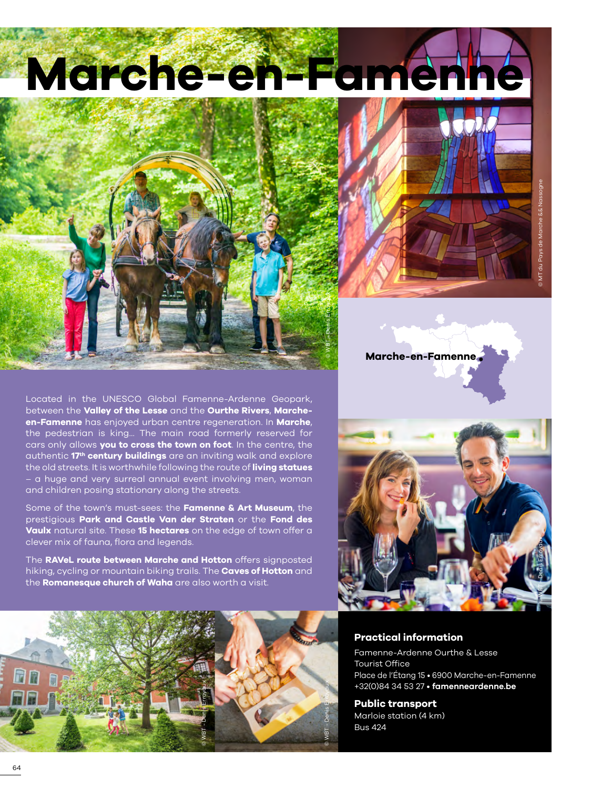



**Marche-en-Famenne**

Located in the UNESCO Global Famenne-Ardenne Geopark, between the **Valley of the Lesse** and the **Ourthe Rivers**, **Marcheen-Famenne** has enjoyed urban centre regeneration. In **Marche**, the pedestrian is king... The main road formerly reserved for cars only allows **you to cross the town on foot**. In the centre, the authentic **17th century buildings** are an inviting walk and explore the old streets. It is worthwhile following the route of **living statues** – a huge and very surreal annual event involving men, woman and children posing stationary along the streets.

Some of the town's must-sees: the **Famenne & Art Museum**, the prestigious **Park and Castle Van der Straten** or the **Fond des Vaulx** natural site. These **15 hectares** on the edge of town offer a clever mix of fauna, flora and legends.

The **RAVeL route between Marche and Hotton** offers signposted hiking, cycling or mountain biking trails. The **Caves of Hotton** and the **Romanesque church of Waha** are also worth a visit.





# **Practical information**

Famenne-Ardenne Ourthe & Lesse Tourist Office Place de l'Étang 15 • 6900 Marche-en-Famenne +32(0)84 34 53 27 • **[famenneardenne.be](https://www.famenneardenne.be/fr/)**

**Public transport** Marloie station (4 km) Bus 424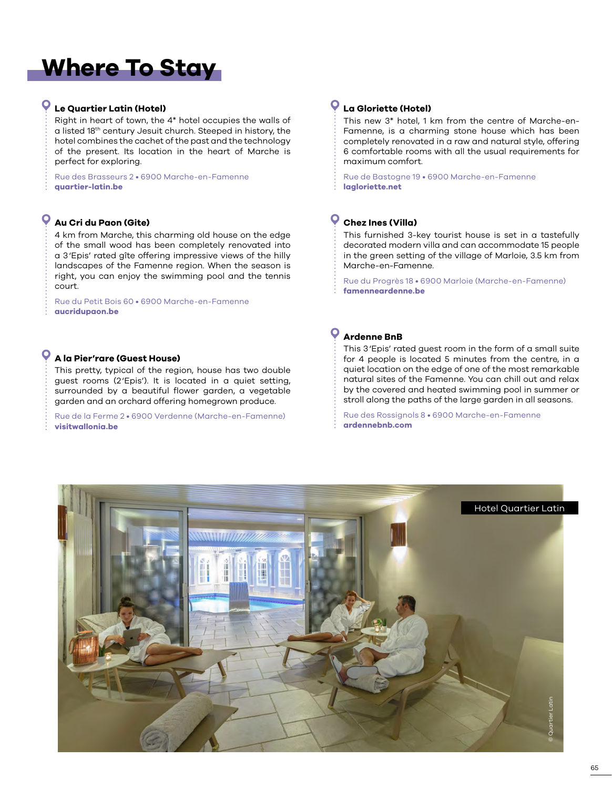# **Where To Stay**

## **Le Quartier Latin (Hotel)**

Right in heart of town, the 4\* hotel occupies the walls of a listed 18th century Jesuit church. Steeped in history, the hotel combines the cachet of the past and the technology of the present. Its location in the heart of Marche is perfect for exploring.

Rue des Brasseurs 2 • 6900 Marche-en-Famenne **[quartier-latin.be](https://www.quartier-latin.be)**

# **Au Cri du Paon (Gite)**

4 km from Marche, this charming old house on the edge of the small wood has been completely renovated into a 3'Epis' rated gîte offering impressive views of the hilly landscapes of the Famenne region. When the season is right, you can enjoy the swimming pool and the tennis court.

Rue du Petit Bois 60 • 6900 Marche-en-Famenne **[aucridupaon.be](www.aucridupaon.be)**

### **A la Pier'rare (Guest House)**

This pretty, typical of the region, house has two double guest rooms (2'Epis'). It is located in a quiet setting, surrounded by a beautiful flower garden, a vegetable garden and an orchard offering homegrown produce.

Rue de la Ferme 2 • 6900 Verdenne (Marche-en-Famenne) **[visitwallonia.be](www.visitwallonia.be)**

#### **La Gloriette (Hotel)**

This new 3\* hotel, 1 km from the centre of Marche-en-Famenne, is a charming stone house which has been completely renovated in a raw and natural style, offering 6 comfortable rooms with all the usual requirements for maximum comfort.

Rue de Bastogne 19 • 6900 Marche-en-Famenne **[lagloriette.net](https://lagloriette.net)**

# **Chez Ines (Villa)**

This furnished 3-key tourist house is set in a tastefully decorated modern villa and can accommodate 15 people in the green setting of the village of Marloie, 3.5 km from Marche-en-Famenne.

Rue du Progrès 18 • 6900 Marloie (Marche-en-Famenne) **[famenneardenne.be](https://www.famenneardenne.be/fr/hades_offre/chez-ines-2/)**

# **Ardenne BnB**

This 3'Epis' rated guest room in the form of a small suite for 4 people is located 5 minutes from the centre, in a quiet location on the edge of one of the most remarkable natural sites of the Famenne. You can chill out and relax by the covered and heated swimming pool in summer or stroll along the paths of the large garden in all seasons.

Rue des Rossignols 8 • 6900 Marche-en-Famenne **[ardennebnb.com](ww.ardennebnb.com)**

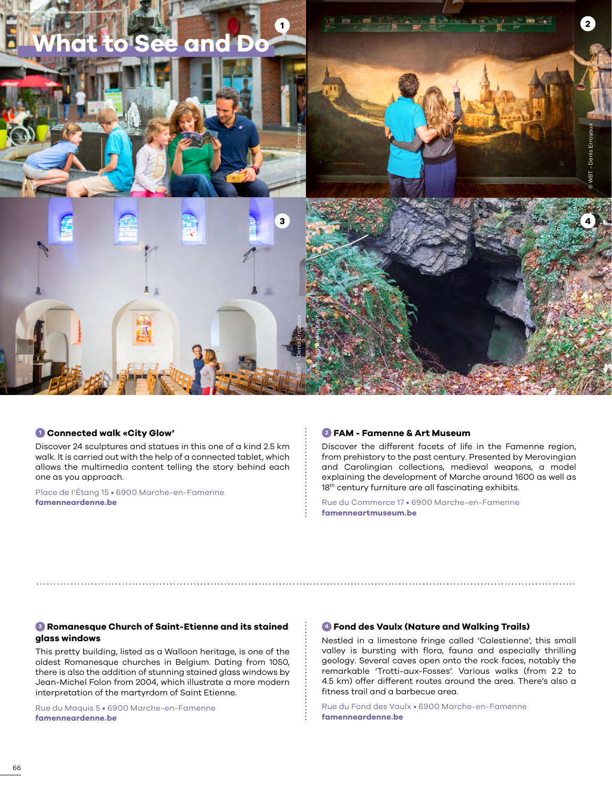

#### **<sup>1</sup> Connected walk «City Glow'**

Discover 24 sculptures and statues in this one of a kind 2.5 km walk. It is carried out with the help of a connected tablet, which allows the multimedia content telling the story behind each one as you approach.

Place de l'Étang 15 • 6900 Marche-en-Famenne **[famenneardenne.be](www.famenneardenne.be)**

#### **<sup>2</sup> FAM - Famenne & Art Museum**

Discover the different facets of life in the Famenne region, from prehistory to the past century. Presented by Merovingian and Carolingian collections, medieval weapons, a model explaining the development of Marche around 1600 as well as 18<sup>th</sup> century furniture are all fascinating exhibits.

Rue du Commerce 17 • 6900 Marche-en-Famenne **[famenneartmuseum.be](https://www.famenneartmuseum.be/)**

#### **<sup>3</sup> Romanesque Church of Saint-Etienne and its stained glass windows**

This pretty building, listed as a Walloon heritage, is one of the oldest Romanesque churches in Belgium. Dating from 1050, there is also the addition of stunning stained glass windows by Jean-Michel Folon from 2004, which illustrate a more modern interpretation of the martyrdom of Saint Etienne.

Rue du Maquis 5 • 6900 Marche-en-Famenne **[famenneardenne.be](http://www.famenneardenne.be/)**

#### **<sup>4</sup> Fond des Vaulx (Nature and Walking Trails)**

Nestled in a limestone fringe called 'Calestienne', this small valley is bursting with flora, fauna and especially thrilling geology. Several caves open onto the rock faces, notably the remarkable 'Trotti-aux-Fosses'. Various walks (from 2.2 to 4.5 km) offer different routes around the area. There's also a fitness trail and a barbecue area.

Rue du Fond des Vaulx • 6900 Marche-en-Famenne **[famenneardenne.be](www.famenneardenne.be)**